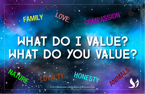## WHAT DO I VALUE? WHAT DO YOU VALUE?

COMPASSION

LOVE

FAMILY

**NATURE** 

*© 2019 Transformative Learning Alliance (TLA) Everyday Circles* LOYALTY HONESTY ANIMALS